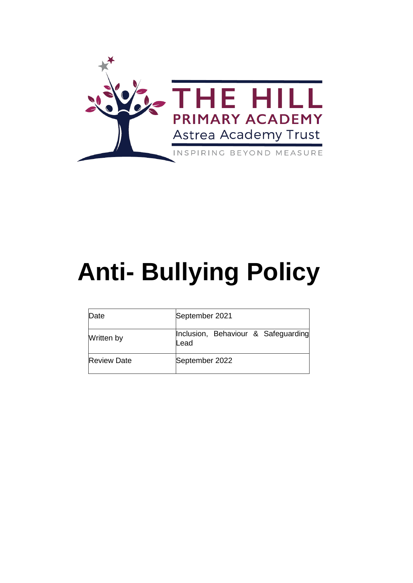

# **Anti- Bullying Policy**

| Date               | September 2021                              |
|--------------------|---------------------------------------------|
| Written by         | Inclusion, Behaviour & Safeguarding<br>Lead |
| <b>Review Date</b> | September 2022                              |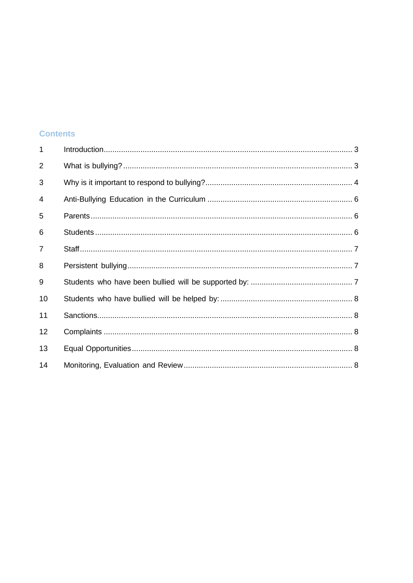# **Contents**

| $\mathbf{1}$   |  |
|----------------|--|
| $\overline{2}$ |  |
| 3              |  |
| 4              |  |
| 5              |  |
| 6              |  |
| $\overline{7}$ |  |
| 8              |  |
| 9              |  |
| 10             |  |
| 11             |  |
| 12             |  |
| 13             |  |
| 14             |  |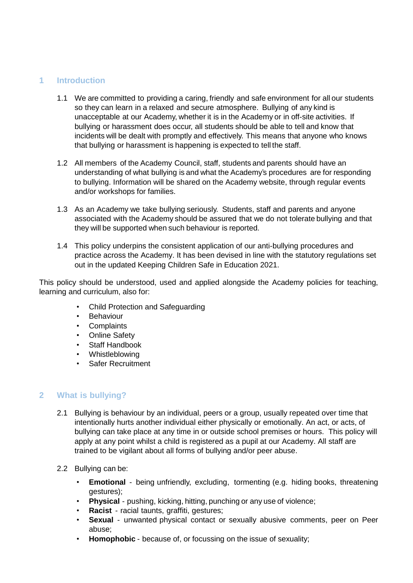## <span id="page-2-0"></span>**1 Introduction**

- 1.1 We are committed to providing a caring, friendly and safe environment for all our students so they can learn in a relaxed and secure atmosphere. Bullying of any kind is unacceptable at our Academy, whether it is in the Academy or in off-site activities. If bullying or harassment does occur, all students should be able to tell and know that incidents will be dealt with promptly and effectively. This means that anyone who knows that bullying or harassment is happening is expected to tell the staff.
- 1.2 All members of the Academy Council, staff, students and parents should have an understanding of what bullying is and what the Academy's procedures are for responding to bullying. Information will be shared on the Academy website, through regular events and/or workshops for families.
- 1.3 As an Academy we take bullying seriously. Students, staff and parents and anyone associated with the Academy should be assured that we do not tolerate bullying and that they will be supported when such behaviour is reported.
- 1.4 This policy underpins the consistent application of our anti-bullying procedures and practice across the Academy. It has been devised in line with the statutory regulations set out in the updated Keeping Children Safe in Education 2021.

This policy should be understood, used and applied alongside the Academy policies for teaching, learning and curriculum, also for:

- Child Protection and Safeguarding
- **Behaviour**
- Complaints
- Online Safety
- Staff Handbook
- Whistleblowing
- Safer Recruitment

## <span id="page-2-1"></span>**2 What is bullying?**

- 2.1 Bullying is behaviour by an individual, peers or a group, usually repeated over time that intentionally hurts another individual either physically or emotionally. An act, or acts, of bullying can take place at any time in or outside school premises or hours. This policy will apply at any point whilst a child is registered as a pupil at our Academy. All staff are trained to be vigilant about all forms of bullying and/or peer abuse.
- 2.2 Bullying can be:
	- **Emotional** being unfriendly, excluding, tormenting (e.g. hiding books, threatening gestures);
	- **Physical** pushing, kicking, hitting, punching or any use of violence;
	- **Racist** racial taunts, graffiti, gestures;
	- **Sexual** unwanted physical contact or sexually abusive comments, peer on Peer abuse;
	- **Homophobic** because of, or focussing on the issue of sexuality;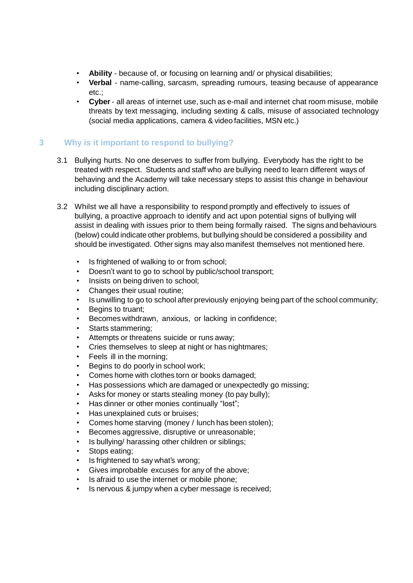- **Ability** because of, or focusing on learning and/ or physical disabilities;
- **Verbal** name-calling, sarcasm, spreading rumours, teasing because of appearance etc.;
- **Cyber** all areas of internet use, such as e-mail and internet chat room misuse, mobile threats by text messaging, including sexting & calls, misuse of associated technology (social media applications, camera & video facilities, MSN etc.)

# <span id="page-3-0"></span>**3 Why is it important to respond to bullying?**

- 3.1 Bullying hurts. No one deserves to suffer from bullying. Everybody has the right to be treated with respect. Students and staff who are bullying need to learn different ways of behaving and the Academy will take necessary steps to assist this change in behaviour including disciplinary action.
- 3.2 Whilst we all have a responsibility to respond promptly and effectively to issues of bullying, a proactive approach to identify and act upon potential signs of bullying will assist in dealing with issues prior to them being formally raised. The signs and behaviours (below) could indicate other problems, but bullying should be considered a possibility and should be investigated. Other signs may also manifest themselves not mentioned here.
	- Is frightened of walking to or from school;
	- Doesn't want to go to school by public/school transport;
	- Insists on being driven to school;
	- Changes their usual routine;
	- Is unwilling to go to school after previously enjoying being part of the school community;
	- Begins to truant:
	- Becomes withdrawn, anxious, or lacking in confidence;
	- Starts stammering;
	- Attempts or threatens suicide or runs away;
	- Cries themselves to sleep at night or has nightmares;
	- Feels ill in the morning;
	- Begins to do poorly in school work;
	- Comes home with clothes torn or books damaged;
	- Has possessions which are damaged or unexpectedly go missing;
	- Asks for money or starts stealing money (to pay bully);
	- Has dinner or other monies continually "lost";
	- Has unexplained cuts or bruises;
	- Comes home starving (money / lunch has been stolen);
	- Becomes aggressive, disruptive or unreasonable;
	- Is bullying/ harassing other children or siblings;
	- Stops eating;
	- Is frightened to say what's wrong;
	- Gives improbable excuses for any of the above;
	- Is afraid to use the internet or mobile phone;
	- Is nervous & jumpy when a cyber message is received;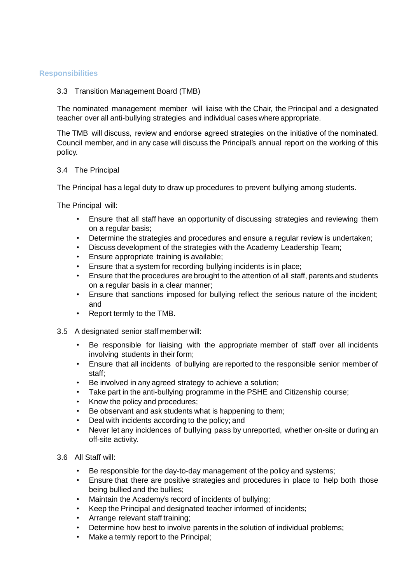#### **Responsibilities**

#### 3.3 Transition Management Board (TMB)

The nominated management member will liaise with the Chair, the Principal and a designated teacher over all anti-bullying strategies and individual cases where appropriate.

The TMB will discuss, review and endorse agreed strategies on the initiative of the nominated. Council member, and in any case will discuss the Principal's annual report on the working of this policy.

#### 3.4 The Principal

The Principal has a legal duty to draw up procedures to prevent bullying among students.

The Principal will:

- Ensure that all staff have an opportunity of discussing strategies and reviewing them on a regular basis;
- Determine the strategies and procedures and ensure a regular review is undertaken;
- Discuss development of the strategies with the Academy Leadership Team;
- Ensure appropriate training is available;
- Ensure that a system for recording bullying incidents is in place;
- Ensure that the procedures are brought to the attention of all staff, parents and students on a regular basis in a clear manner;
- Ensure that sanctions imposed for bullying reflect the serious nature of the incident; and
- Report termly to the TMB.
- 3.5 A designated senior staff member will:
	- Be responsible for liaising with the appropriate member of staff over all incidents involving students in their form;
	- Ensure that all incidents of bullying are reported to the responsible senior member of staff;
	- Be involved in any agreed strategy to achieve a solution;
	- Take part in the anti-bullying programme in the PSHE and Citizenship course;
	- Know the policy and procedures;
	- Be observant and ask students what is happening to them;
	- Deal with incidents according to the policy; and
	- Never let any incidences of bullying pass by unreported, whether on-site or during an off-site activity.
- 3.6 All Staff will:
	- Be responsible for the day-to-day management of the policy and systems;
	- Ensure that there are positive strategies and procedures in place to help both those being bullied and the bullies;
	- Maintain the Academy's record of incidents of bullying;
	- Keep the Principal and designated teacher informed of incidents;
	- Arrange relevant staff training;
	- Determine how best to involve parents in the solution of individual problems;
	- Make a termly report to the Principal;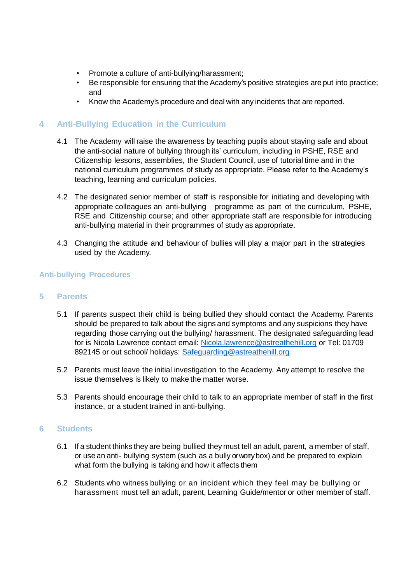- Promote a culture of anti-bullying/harassment;
- Be responsible for ensuring that the Academy's positive strategies are put into practice; and
- Know the Academy's procedure and deal with any incidents that are reported.

## <span id="page-5-0"></span>**4 Anti-Bullying Education in the Curriculum**

- 4.1 The Academy will raise the awareness by teaching pupils about staying safe and about the anti-social nature of bullying through its' curriculum, including in PSHE, RSE and Citizenship lessons, assemblies, the Student Council, use of tutorial time and in the national curriculum programmes of study as appropriate. Please refer to the Academy's teaching, learning and curriculum policies.
- 4.2 The designated senior member of staff is responsible for initiating and developing with appropriate colleagues an anti-bullying programme as part of the curriculum, PSHE, RSE and Citizenship course; and other appropriate staff are responsible for introducing anti-bullying material in their programmes of study as appropriate.
- 4.3 Changing the attitude and behaviour of bullies will play a major part in the strategies used by the Academy.

#### **Anti-bullying Procedures**

#### <span id="page-5-1"></span>**5 Parents**

- 5.1 If parents suspect their child is being bullied they should contact the Academy. Parents should be prepared to talk about the signs and symptoms and any suspicions they have regarding those carrying out the bullying/ harassment. The designated safeguarding lead for is Nicola Lawrence contact email: [Nicola.lawrence@astreathehill.org](mailto:Nicola.lawrence@astreathehill.org) or Tel: 01709 892145 or out school/ holidays: [Safeguarding@astreathehill.org](mailto:Safeguarding@astreathehill.org)
- 5.2 Parents must leave the initial investigation to the Academy. Any attempt to resolve the issue themselves is likely to make the matter worse.
- 5.3 Parents should encourage their child to talk to an appropriate member of staff in the first instance, or a student trained in anti-bullying.

#### <span id="page-5-2"></span>**6 Students**

- 6.1 If a student thinks they are being bullied they must tell an adult, parent, a member of staff, or use an anti- bullying system (such as a bully or worry box) and be prepared to explain what form the bullying is taking and how it affects them
- 6.2 Students who witness bullying or an incident which they feel may be bullying or harassment must tell an adult, parent, Learning Guide/mentor or other member of staff.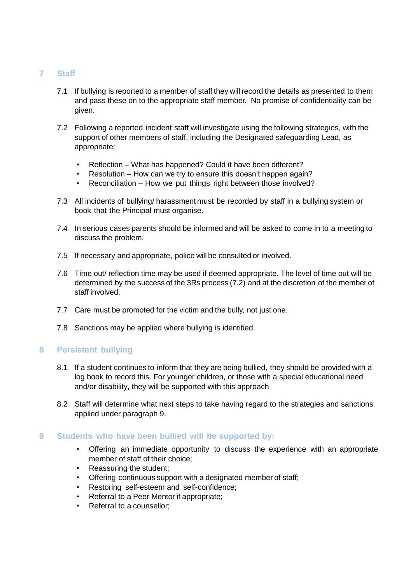# <span id="page-6-0"></span>**7 Staff**

- 7.1 If bullying is reported to a member of staff they will record the details as presented to them and pass these on to the appropriate staff member. No promise of confidentiality can be given.
- 7.2 Following a reported incident staff will investigate using the following strategies, with the support of other members of staff, including the Designated safeguarding Lead, as appropriate:
	- Reflection What has happened? Could it have been different?
	- Resolution How can we try to ensure this doesn't happen again?
	- Reconciliation How we put things right between those involved?
- 7.3 All incidents of bullying/ harassment must be recorded by staff in a bullying system or book that the Principal must organise.
- 7.4 In serious cases parents should be informed and will be asked to come in to a meeting to discuss the problem.
- 7.5 If necessary and appropriate, police will be consulted or involved.
- 7.6 Time out/ reflection time may be used if deemed appropriate. The level of time out will be determined by the success of the 3Rs process (7.2) and at the discretion of the member of staff involved.
- 7.7 Care must be promoted for the victim and the bully, not just one.
- 7.8 Sanctions may be applied where bullying is identified.

## <span id="page-6-1"></span>**8 Persistent bullying**

- 8.1 If a student continues to inform that they are being bullied, they should be provided with a log book to record this. For younger children, or those with a special educational need and/or disability, they will be supported with this approach
- 8.2 Staff will determine what next steps to take having regard to the strategies and sanctions applied under paragraph 9.

## <span id="page-6-2"></span>**9 Students who have been bullied will be supported by:**

- Offering an immediate opportunity to discuss the experience with an appropriate member of staff of their choice;
- Reassuring the student;
- Offering continuous support with a designated member of staff;
- Restoring self-esteem and self-confidence;
- Referral to a Peer Mentor if appropriate;
- Referral to a counsellor;